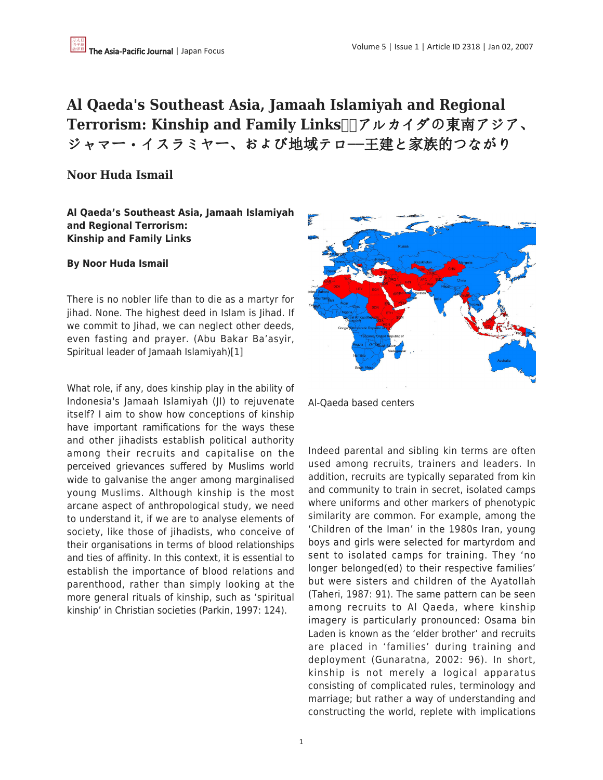# **Al Qaeda's Southeast Asia, Jamaah Islamiyah and Regional Terrorism: Kinship and Family Links □アルカイダの東南アジア、** ジャマー・イスラミヤー、および地域テロー王建と家族的つながり

# **Noor Huda Ismail**

**Al Qaeda's Southeast Asia, Jamaah Islamiyah and Regional Terrorism: Kinship and Family Links**

#### **By Noor Huda Ismail**

There is no nobler life than to die as a martyr for jihad. None. The highest deed in Islam is Jihad. If we commit to Jihad, we can neglect other deeds, even fasting and prayer. (Abu Bakar Ba'asyir, Spiritual leader of Jamaah Islamiyah)[1]

What role, if any, does kinship play in the ability of Indonesia's Jamaah Islamiyah (JI) to rejuvenate itself? I aim to show how conceptions of kinship have important ramifications for the ways these and other jihadists establish political authority among their recruits and capitalise on the perceived grievances suffered by Muslims world wide to galvanise the anger among marginalised young Muslims. Although kinship is the most arcane aspect of anthropological study, we need to understand it, if we are to analyse elements of society, like those of jihadists, who conceive of their organisations in terms of blood relationships and ties of affinity. In this context, it is essential to establish the importance of blood relations and parenthood, rather than simply looking at the more general rituals of kinship, such as 'spiritual kinship' in Christian societies (Parkin, 1997: 124).



Al-Qaeda based centers

Indeed parental and sibling kin terms are often used among recruits, trainers and leaders. In addition, recruits are typically separated from kin and community to train in secret, isolated camps where uniforms and other markers of phenotypic similarity are common. For example, among the 'Children of the Iman' in the 1980s Iran, young boys and girls were selected for martyrdom and sent to isolated camps for training. They 'no longer belonged(ed) to their respective families' but were sisters and children of the Ayatollah (Taheri, 1987: 91). The same pattern can be seen among recruits to Al Qaeda, where kinship imagery is particularly pronounced: Osama bin Laden is known as the 'elder brother' and recruits are placed in 'families' during training and deployment (Gunaratna, 2002: 96). In short, kinship is not merely a logical apparatus consisting of complicated rules, terminology and marriage; but rather a way of understanding and constructing the world, replete with implications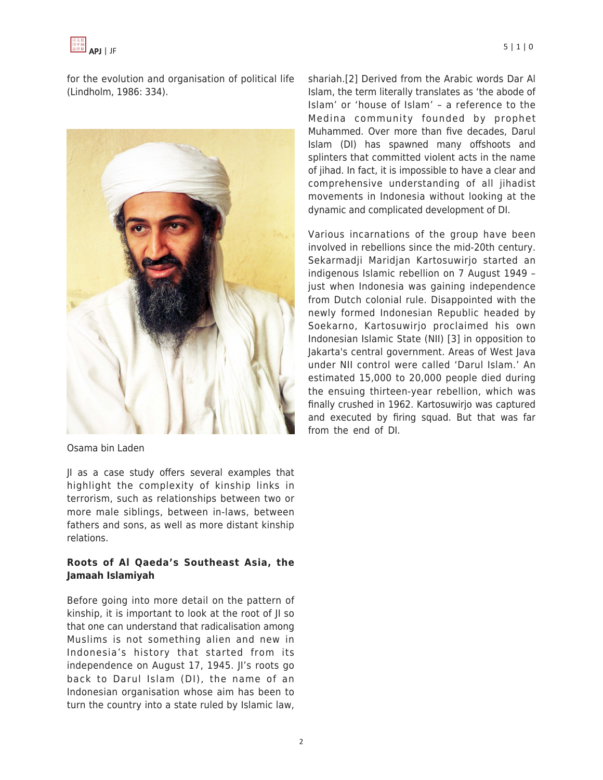

for the evolution and organisation of political life (Lindholm, 1986: 334).



Osama bin Laden

JI as a case study offers several examples that highlight the complexity of kinship links in terrorism, such as relationships between two or more male siblings, between in-laws, between fathers and sons, as well as more distant kinship relations.

#### **Roots of Al Qaeda's Southeast Asia, the Jamaah Islamiyah**

Before going into more detail on the pattern of kinship, it is important to look at the root of JI so that one can understand that radicalisation among Muslims is not something alien and new in Indonesia's history that started from its independence on August 17, 1945. JI's roots go back to Darul Islam (DI), the name of an Indonesian organisation whose aim has been to turn the country into a state ruled by Islamic law,

shariah.[2] Derived from the Arabic words Dar Al Islam, the term literally translates as 'the abode of Islam' or 'house of Islam' – a reference to the Medina community founded by prophet Muhammed. Over more than five decades, Darul Islam (DI) has spawned many offshoots and splinters that committed violent acts in the name of jihad. In fact, it is impossible to have a clear and comprehensive understanding of all jihadist movements in Indonesia without looking at the dynamic and complicated development of DI.

Various incarnations of the group have been involved in rebellions since the mid-20th century. Sekarmadji Maridjan Kartosuwirjo started an indigenous Islamic rebellion on 7 August 1949 – just when Indonesia was gaining independence from Dutch colonial rule. Disappointed with the newly formed Indonesian Republic headed by Soekarno, Kartosuwirjo proclaimed his own Indonesian Islamic State (NII) [3] in opposition to Jakarta's central government. Areas of West Java under NII control were called 'Darul Islam.' An estimated 15,000 to 20,000 people died during the ensuing thirteen-year rebellion, which was finally crushed in 1962. Kartosuwirjo was captured and executed by firing squad. But that was far from the end of DI.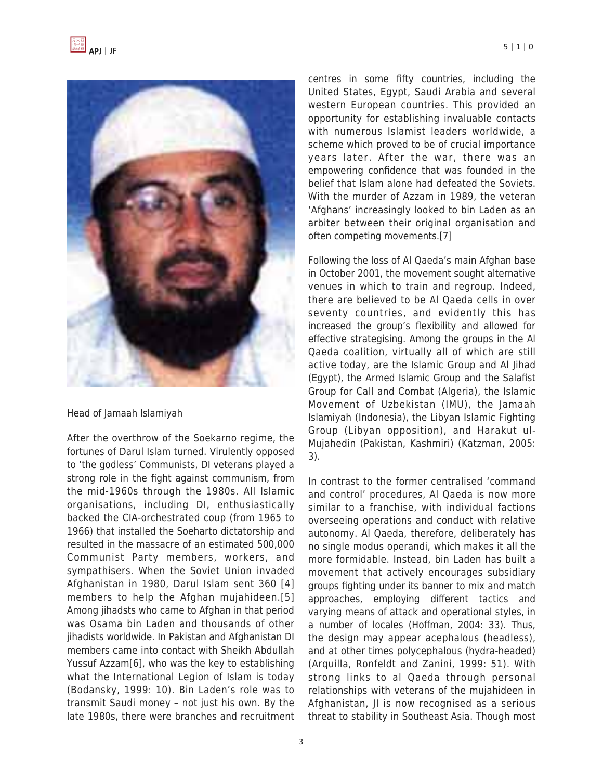

Head of Jamaah Islamiyah

After the overthrow of the Soekarno regime, the fortunes of Darul Islam turned. Virulently opposed to 'the godless' Communists, DI veterans played a strong role in the fight against communism, from the mid-1960s through the 1980s. All Islamic organisations, including DI, enthusiastically backed the CIA-orchestrated coup (from 1965 to 1966) that installed the Soeharto dictatorship and resulted in the massacre of an estimated 500,000 Communist Party members, workers, and sympathisers. When the Soviet Union invaded Afghanistan in 1980, Darul Islam sent 360 [4] members to help the Afghan mujahideen.[5] Among jihadsts who came to Afghan in that period was Osama bin Laden and thousands of other jihadists worldwide. In Pakistan and Afghanistan DI members came into contact with Sheikh Abdullah Yussuf Azzam[6], who was the key to establishing what the International Legion of Islam is today (Bodansky, 1999: 10). Bin Laden's role was to transmit Saudi money – not just his own. By the late 1980s, there were branches and recruitment centres in some fifty countries, including the United States, Egypt, Saudi Arabia and several western European countries. This provided an opportunity for establishing invaluable contacts with numerous Islamist leaders worldwide, a scheme which proved to be of crucial importance years later. After the war, there was an empowering confidence that was founded in the belief that Islam alone had defeated the Soviets. With the murder of Azzam in 1989, the veteran 'Afghans' increasingly looked to bin Laden as an arbiter between their original organisation and often competing movements.[7]

Following the loss of Al Qaeda's main Afghan base in October 2001, the movement sought alternative venues in which to train and regroup. Indeed, there are believed to be Al Qaeda cells in over seventy countries, and evidently this has increased the group's flexibility and allowed for effective strategising. Among the groups in the Al Qaeda coalition, virtually all of which are still active today, are the Islamic Group and Al Jihad (Egypt), the Armed Islamic Group and the Salafist Group for Call and Combat (Algeria), the Islamic Movement of Uzbekistan (IMU), the Jamaah Islamiyah (Indonesia), the Libyan Islamic Fighting Group (Libyan opposition), and Harakut ul-Mujahedin (Pakistan, Kashmiri) (Katzman, 2005: 3).

In contrast to the former centralised 'command and control' procedures, Al Qaeda is now more similar to a franchise, with individual factions overseeing operations and conduct with relative autonomy. Al Qaeda, therefore, deliberately has no single modus operandi, which makes it all the more formidable. Instead, bin Laden has built a movement that actively encourages subsidiary groups fighting under its banner to mix and match approaches, employing different tactics and varying means of attack and operational styles, in a number of locales (Hoffman, 2004: 33). Thus, the design may appear acephalous (headless), and at other times polycephalous (hydra-headed) (Arquilla, Ronfeldt and Zanini, 1999: 51). With strong links to al Qaeda through personal relationships with veterans of the mujahideen in Afghanistan, JI is now recognised as a serious threat to stability in Southeast Asia. Though most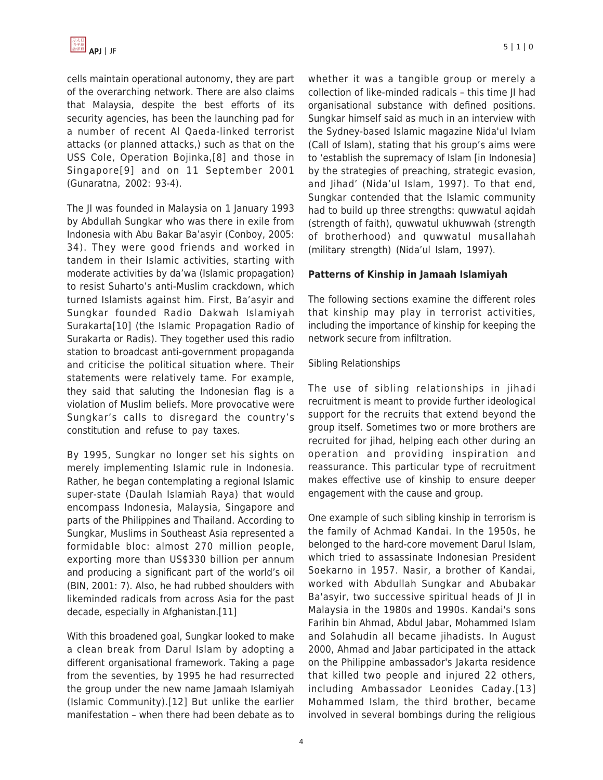cells maintain operational autonomy, they are part of the overarching network. There are also claims that Malaysia, despite the best efforts of its security agencies, has been the launching pad for a number of recent Al Qaeda-linked terrorist attacks (or planned attacks,) such as that on the USS Cole, Operation Bojinka,[8] and those in Singapore[9] and on 11 September 2001 (Gunaratna, 2002: 93-4).

The JI was founded in Malaysia on 1 January 1993 by Abdullah Sungkar who was there in exile from Indonesia with Abu Bakar Ba'asyir (Conboy, 2005: 34). They were good friends and worked in tandem in their Islamic activities, starting with moderate activities by da'wa (Islamic propagation) to resist Suharto's anti-Muslim crackdown, which turned Islamists against him. First, Ba'asyir and Sungkar founded Radio Dakwah Islamiyah Surakarta[10] (the Islamic Propagation Radio of Surakarta or Radis). They together used this radio station to broadcast anti-government propaganda and criticise the political situation where. Their statements were relatively tame. For example, they said that saluting the Indonesian flag is a violation of Muslim beliefs. More provocative were Sungkar's calls to disregard the country's constitution and refuse to pay taxes.

By 1995, Sungkar no longer set his sights on merely implementing Islamic rule in Indonesia. Rather, he began contemplating a regional Islamic super-state (Daulah Islamiah Raya) that would encompass Indonesia, Malaysia, Singapore and parts of the Philippines and Thailand. According to Sungkar, Muslims in Southeast Asia represented a formidable bloc: almost 270 million people, exporting more than US\$330 billion per annum and producing a significant part of the world's oil (BIN, 2001: 7). Also, he had rubbed shoulders with likeminded radicals from across Asia for the past decade, especially in Afghanistan.[11]

With this broadened goal, Sungkar looked to make a clean break from Darul Islam by adopting a different organisational framework. Taking a page from the seventies, by 1995 he had resurrected the group under the new name Jamaah Islamiyah (Islamic Community).[12] But unlike the earlier manifestation – when there had been debate as to whether it was a tangible group or merely a collection of like-minded radicals – this time JI had organisational substance with defined positions. Sungkar himself said as much in an interview with the Sydney-based Islamic magazine Nida'ul Ivlam (Call of Islam), stating that his group's aims were to 'establish the supremacy of Islam [in Indonesia] by the strategies of preaching, strategic evasion, and Jihad' (Nida'ul Islam, 1997). To that end, Sungkar contended that the Islamic community had to build up three strengths: quwwatul aqidah (strength of faith), quwwatul ukhuwwah (strength of brotherhood) and quwwatul musallahah (military strength) (Nida'ul Islam, 1997).

## **Patterns of Kinship in Jamaah Islamiyah**

The following sections examine the different roles that kinship may play in terrorist activities, including the importance of kinship for keeping the network secure from infiltration.

## Sibling Relationships

The use of sibling relationships in jihadi recruitment is meant to provide further ideological support for the recruits that extend beyond the group itself. Sometimes two or more brothers are recruited for jihad, helping each other during an operation and providing inspiration and reassurance. This particular type of recruitment makes effective use of kinship to ensure deeper engagement with the cause and group.

One example of such sibling kinship in terrorism is the family of Achmad Kandai. In the 1950s, he belonged to the hard-core movement Darul Islam, which tried to assassinate Indonesian President Soekarno in 1957. Nasir, a brother of Kandai, worked with Abdullah Sungkar and Abubakar Ba'asyir, two successive spiritual heads of JI in Malaysia in the 1980s and 1990s. Kandai's sons Farihin bin Ahmad, Abdul Jabar, Mohammed Islam and Solahudin all became jihadists. In August 2000, Ahmad and Jabar participated in the attack on the Philippine ambassador's Jakarta residence that killed two people and injured 22 others, including Ambassador Leonides Caday.[13] Mohammed Islam, the third brother, became involved in several bombings during the religious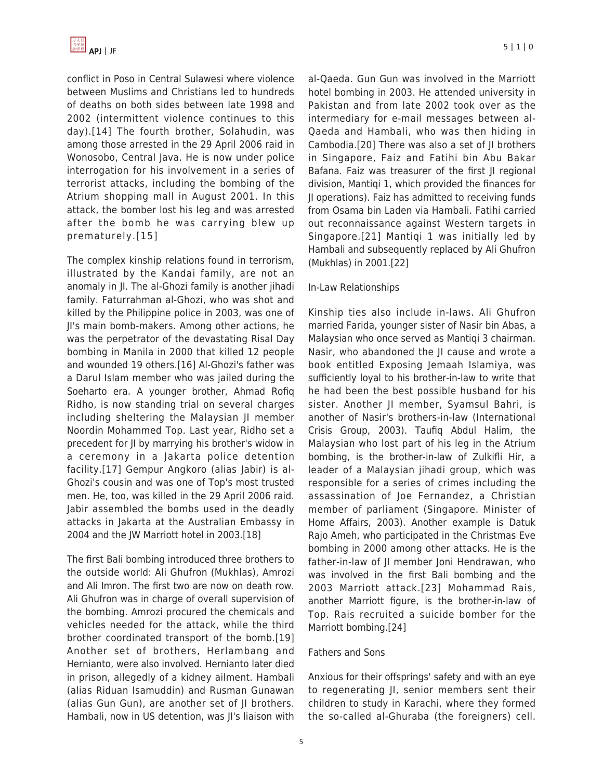conflict in Poso in Central Sulawesi where violence between Muslims and Christians led to hundreds of deaths on both sides between late 1998 and 2002 (intermittent violence continues to this day).[14] The fourth brother, Solahudin, was among those arrested in the 29 April 2006 raid in Wonosobo, Central Java. He is now under police interrogation for his involvement in a series of terrorist attacks, including the bombing of the Atrium shopping mall in August 2001. In this attack, the bomber lost his leg and was arrested after the bomb he was carrying blew up prematurely.[15]

The complex kinship relations found in terrorism, illustrated by the Kandai family, are not an anomaly in JI. The al-Ghozi family is another jihadi family. Faturrahman al-Ghozi, who was shot and killed by the Philippine police in 2003, was one of JI's main bomb-makers. Among other actions, he was the perpetrator of the devastating Risal Day bombing in Manila in 2000 that killed 12 people and wounded 19 others.[16] Al-Ghozi's father was a Darul Islam member who was jailed during the Soeharto era. A younger brother, Ahmad Rofiq Ridho, is now standing trial on several charges including sheltering the Malaysian JI member Noordin Mohammed Top. Last year, Ridho set a precedent for JI by marrying his brother's widow in a ceremony in a Jakarta police detention facility.[17] Gempur Angkoro (alias Jabir) is al-Ghozi's cousin and was one of Top's most trusted men. He, too, was killed in the 29 April 2006 raid. Jabir assembled the bombs used in the deadly attacks in Jakarta at the Australian Embassy in 2004 and the JW Marriott hotel in 2003.[18]

The first Bali bombing introduced three brothers to the outside world: Ali Ghufron (Mukhlas), Amrozi and Ali Imron. The first two are now on death row. Ali Ghufron was in charge of overall supervision of the bombing. Amrozi procured the chemicals and vehicles needed for the attack, while the third brother coordinated transport of the bomb.[19] Another set of brothers, Herlambang and Hernianto, were also involved. Hernianto later died in prison, allegedly of a kidney ailment. Hambali (alias Riduan Isamuddin) and Rusman Gunawan (alias Gun Gun), are another set of JI brothers. Hambali, now in US detention, was JI's liaison with al-Qaeda. Gun Gun was involved in the Marriott hotel bombing in 2003. He attended university in Pakistan and from late 2002 took over as the intermediary for e-mail messages between al-Qaeda and Hambali, who was then hiding in Cambodia.[20] There was also a set of JI brothers in Singapore, Faiz and Fatihi bin Abu Bakar Bafana. Faiz was treasurer of the first JI regional division, Mantiqi 1, which provided the finances for JI operations). Faiz has admitted to receiving funds from Osama bin Laden via Hambali. Fatihi carried out reconnaissance against Western targets in Singapore.[21] Mantiqi 1 was initially led by Hambali and subsequently replaced by Ali Ghufron (Mukhlas) in 2001.[22]

## In-Law Relationships

Kinship ties also include in-laws. Ali Ghufron married Farida, younger sister of Nasir bin Abas, a Malaysian who once served as Mantiqi 3 chairman. Nasir, who abandoned the JI cause and wrote a book entitled Exposing Jemaah Islamiya, was sufficiently loyal to his brother-in-law to write that he had been the best possible husband for his sister. Another JI member, Syamsul Bahri, is another of Nasir's brothers-in-law (International Crisis Group, 2003). Taufiq Abdul Halim, the Malaysian who lost part of his leg in the Atrium bombing, is the brother-in-law of Zulkifli Hir, a leader of a Malaysian jihadi group, which was responsible for a series of crimes including the assassination of Joe Fernandez, a Christian member of parliament (Singapore. Minister of Home Affairs, 2003). Another example is Datuk Rajo Ameh, who participated in the Christmas Eve bombing in 2000 among other attacks. He is the father-in-law of JI member Joni Hendrawan, who was involved in the first Bali bombing and the 2003 Marriott attack.[23] Mohammad Rais, another Marriott figure, is the brother-in-law of Top. Rais recruited a suicide bomber for the Marriott bombing.[24]

#### Fathers and Sons

Anxious for their offsprings' safety and with an eye to regenerating JI, senior members sent their children to study in Karachi, where they formed the so-called al-Ghuraba (the foreigners) cell.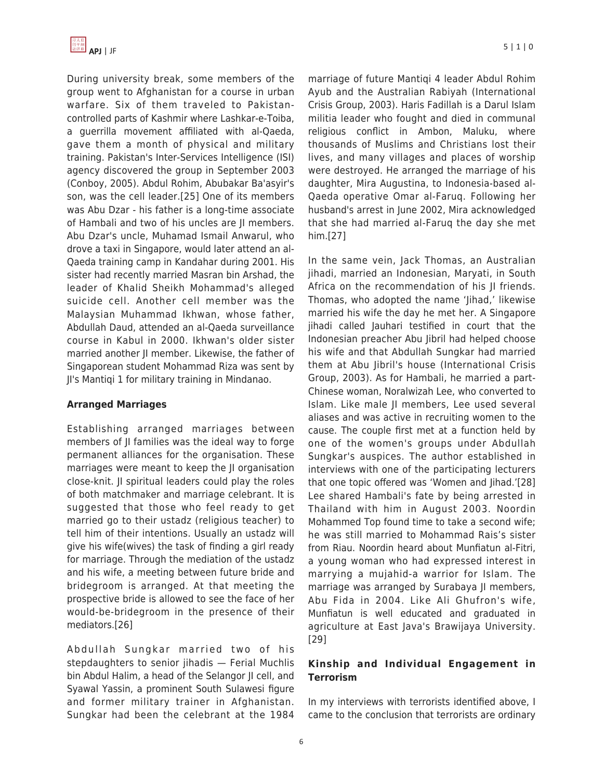During university break, some members of the group went to Afghanistan for a course in urban warfare. Six of them traveled to Pakistancontrolled parts of Kashmir where Lashkar-e-Toiba, a guerrilla movement affiliated with al-Qaeda, gave them a month of physical and military training. Pakistan's Inter-Services Intelligence (ISI) agency discovered the group in September 2003 (Conboy, 2005). Abdul Rohim, Abubakar Ba'asyir's son, was the cell leader.[25] One of its members was Abu Dzar - his father is a long-time associate of Hambali and two of his uncles are JI members. Abu Dzar's uncle, Muhamad Ismail Anwarul, who drove a taxi in Singapore, would later attend an al-Qaeda training camp in Kandahar during 2001. His sister had recently married Masran bin Arshad, the leader of Khalid Sheikh Mohammad's alleged suicide cell. Another cell member was the Malaysian Muhammad Ikhwan, whose father, Abdullah Daud, attended an al-Qaeda surveillance course in Kabul in 2000. Ikhwan's older sister married another JI member. Likewise, the father of Singaporean student Mohammad Riza was sent by JI's Mantiqi 1 for military training in Mindanao.

## **Arranged Marriages**

Establishing arranged marriages between members of JI families was the ideal way to forge permanent alliances for the organisation. These marriages were meant to keep the JI organisation close-knit. JI spiritual leaders could play the roles of both matchmaker and marriage celebrant. It is suggested that those who feel ready to get married go to their ustadz (religious teacher) to tell him of their intentions. Usually an ustadz will give his wife(wives) the task of finding a girl ready for marriage. Through the mediation of the ustadz and his wife, a meeting between future bride and bridegroom is arranged. At that meeting the prospective bride is allowed to see the face of her would-be-bridegroom in the presence of their mediators.[26]

Abdullah Sungkar married two of his stepdaughters to senior jihadis — Ferial Muchlis bin Abdul Halim, a head of the Selangor JI cell, and Syawal Yassin, a prominent South Sulawesi figure and former military trainer in Afghanistan. Sungkar had been the celebrant at the 1984 marriage of future Mantiqi 4 leader Abdul Rohim Ayub and the Australian Rabiyah (International Crisis Group, 2003). Haris Fadillah is a Darul Islam militia leader who fought and died in communal religious conflict in Ambon, Maluku, where thousands of Muslims and Christians lost their lives, and many villages and places of worship were destroyed. He arranged the marriage of his daughter, Mira Augustina, to Indonesia-based al-Qaeda operative Omar al-Faruq. Following her husband's arrest in June 2002, Mira acknowledged that she had married al-Faruq the day she met him.[27]

In the same vein, Jack Thomas, an Australian jihadi, married an Indonesian, Maryati, in South Africa on the recommendation of his JI friends. Thomas, who adopted the name 'Jihad,' likewise married his wife the day he met her. A Singapore jihadi called Jauhari testified in court that the Indonesian preacher Abu Jibril had helped choose his wife and that Abdullah Sungkar had married them at Abu Jibril's house (International Crisis Group, 2003). As for Hambali, he married a part-Chinese woman, Noralwizah Lee, who converted to Islam. Like male JI members, Lee used several aliases and was active in recruiting women to the cause. The couple first met at a function held by one of the women's groups under Abdullah Sungkar's auspices. The author established in interviews with one of the participating lecturers that one topic offered was 'Women and Jihad.'[28] Lee shared Hambali's fate by being arrested in Thailand with him in August 2003. Noordin Mohammed Top found time to take a second wife; he was still married to Mohammad Rais's sister from Riau. Noordin heard about Munfiatun al-Fitri, a young woman who had expressed interest in marrying a mujahid-a warrior for Islam. The marriage was arranged by Surabaya JI members, Abu Fida in 2004. Like Ali Ghufron's wife, Munfiatun is well educated and graduated in agriculture at East Java's Brawijaya University. [29]

# **Kinship and Individual Engagement in Terrorism**

In my interviews with terrorists identified above, I came to the conclusion that terrorists are ordinary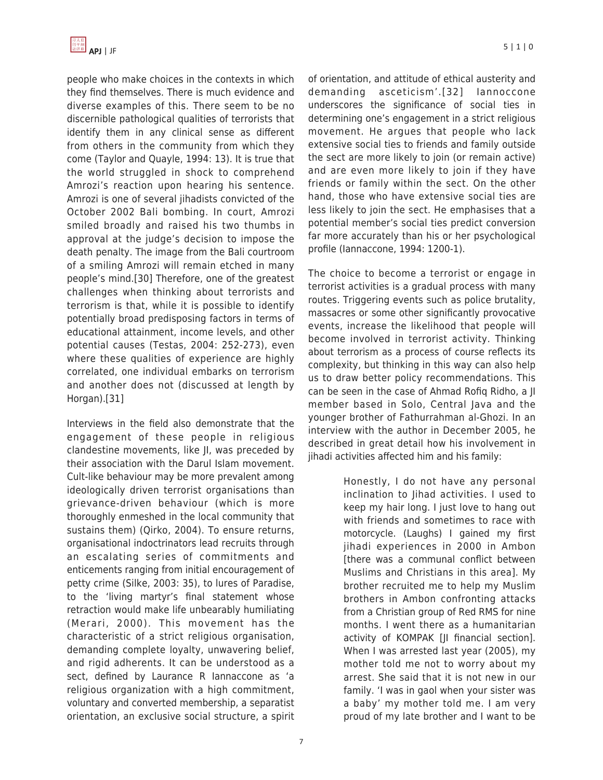

people who make choices in the contexts in which they find themselves. There is much evidence and diverse examples of this. There seem to be no discernible pathological qualities of terrorists that identify them in any clinical sense as different from others in the community from which they come (Taylor and Quayle, 1994: 13). It is true that the world struggled in shock to comprehend Amrozi's reaction upon hearing his sentence. Amrozi is one of several jihadists convicted of the October 2002 Bali bombing. In court, Amrozi smiled broadly and raised his two thumbs in approval at the judge's decision to impose the death penalty. The image from the Bali courtroom of a smiling Amrozi will remain etched in many people's mind.[30] Therefore, one of the greatest challenges when thinking about terrorists and terrorism is that, while it is possible to identify potentially broad predisposing factors in terms of educational attainment, income levels, and other potential causes (Testas, 2004: 252-273), even where these qualities of experience are highly correlated, one individual embarks on terrorism and another does not (discussed at length by Horgan).[31]

Interviews in the field also demonstrate that the engagement of these people in religious clandestine movements, like JI, was preceded by their association with the Darul Islam movement. Cult-like behaviour may be more prevalent among ideologically driven terrorist organisations than grievance-driven behaviour (which is more thoroughly enmeshed in the local community that sustains them) (Qirko, 2004). To ensure returns, organisational indoctrinators lead recruits through an escalating series of commitments and enticements ranging from initial encouragement of petty crime (Silke, 2003: 35), to lures of Paradise, to the 'living martyr's final statement whose retraction would make life unbearably humiliating (Merari, 2000). This movement has the characteristic of a strict religious organisation, demanding complete loyalty, unwavering belief, and rigid adherents. It can be understood as a sect, defined by Laurance R Iannaccone as 'a religious organization with a high commitment, voluntary and converted membership, a separatist orientation, an exclusive social structure, a spirit of orientation, and attitude of ethical austerity and demanding asceticism'.[32] Iannoccone underscores the significance of social ties in determining one's engagement in a strict religious movement. He argues that people who lack extensive social ties to friends and family outside the sect are more likely to join (or remain active) and are even more likely to join if they have friends or family within the sect. On the other hand, those who have extensive social ties are less likely to join the sect. He emphasises that a potential member's social ties predict conversion far more accurately than his or her psychological profile (Iannaccone, 1994: 1200-1).

The choice to become a terrorist or engage in terrorist activities is a gradual process with many routes. Triggering events such as police brutality, massacres or some other significantly provocative events, increase the likelihood that people will become involved in terrorist activity. Thinking about terrorism as a process of course reflects its complexity, but thinking in this way can also help us to draw better policy recommendations. This can be seen in the case of Ahmad Rofiq Ridho, a JI member based in Solo, Central Java and the younger brother of Fathurrahman al-Ghozi. In an interview with the author in December 2005, he described in great detail how his involvement in jihadi activities affected him and his family:

> Honestly, I do not have any personal inclination to Jihad activities. I used to keep my hair long. I just love to hang out with friends and sometimes to race with motorcycle. (Laughs) I gained my first jihadi experiences in 2000 in Ambon [there was a communal conflict between Muslims and Christians in this area]. My brother recruited me to help my Muslim brothers in Ambon confronting attacks from a Christian group of Red RMS for nine months. I went there as a humanitarian activity of KOMPAK [JI financial section]. When I was arrested last year (2005), my mother told me not to worry about my arrest. She said that it is not new in our family. 'I was in gaol when your sister was a baby' my mother told me. I am very proud of my late brother and I want to be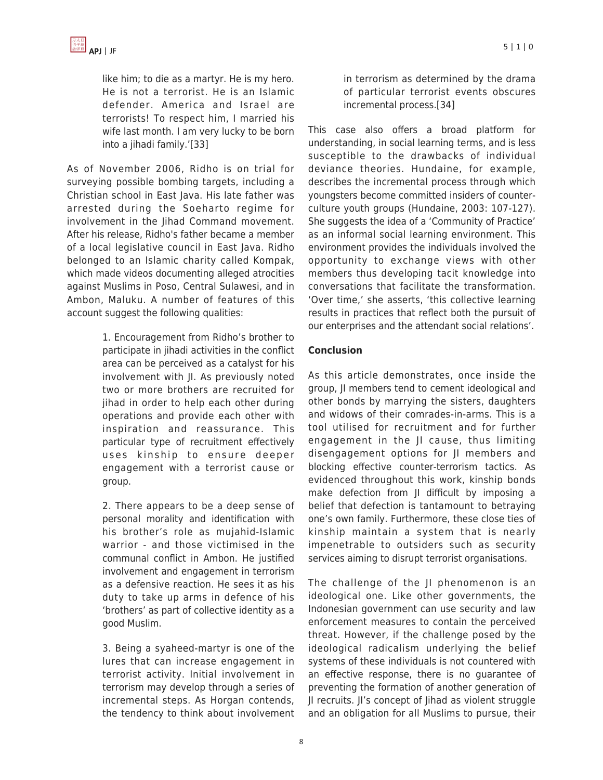like him; to die as a martyr. He is my hero. He is not a terrorist. He is an Islamic defender. America and Israel are terrorists! To respect him, I married his wife last month. I am very lucky to be born into a jihadi family.'[33]

As of November 2006, Ridho is on trial for surveying possible bombing targets, including a Christian school in East Java. His late father was arrested during the Soeharto regime for involvement in the Jihad Command movement. After his release, Ridho's father became a member of a local legislative council in East Java. Ridho belonged to an Islamic charity called Kompak, which made videos documenting alleged atrocities against Muslims in Poso, Central Sulawesi, and in Ambon, Maluku. A number of features of this account suggest the following qualities:

> 1. Encouragement from Ridho's brother to participate in jihadi activities in the conflict area can be perceived as a catalyst for his involvement with JI. As previously noted two or more brothers are recruited for jihad in order to help each other during operations and provide each other with inspiration and reassurance. This particular type of recruitment effectively uses kinship to ensure deeper engagement with a terrorist cause or group.

> 2. There appears to be a deep sense of personal morality and identification with his brother's role as mujahid-Islamic warrior - and those victimised in the communal conflict in Ambon. He justified involvement and engagement in terrorism as a defensive reaction. He sees it as his duty to take up arms in defence of his 'brothers' as part of collective identity as a good Muslim.

> 3. Being a syaheed-martyr is one of the lures that can increase engagement in terrorist activity. Initial involvement in terrorism may develop through a series of incremental steps. As Horgan contends, the tendency to think about involvement

in terrorism as determined by the drama of particular terrorist events obscures incremental process.[34]

This case also offers a broad platform for understanding, in social learning terms, and is less susceptible to the drawbacks of individual deviance theories. Hundaine, for example, describes the incremental process through which youngsters become committed insiders of counterculture youth groups (Hundaine, 2003: 107-127). She suggests the idea of a 'Community of Practice' as an informal social learning environment. This environment provides the individuals involved the opportunity to exchange views with other members thus developing tacit knowledge into conversations that facilitate the transformation. 'Over time,' she asserts, 'this collective learning results in practices that reflect both the pursuit of our enterprises and the attendant social relations'.

#### **Conclusion**

As this article demonstrates, once inside the group, JI members tend to cement ideological and other bonds by marrying the sisters, daughters and widows of their comrades-in-arms. This is a tool utilised for recruitment and for further engagement in the JI cause, thus limiting disengagement options for JI members and blocking effective counter-terrorism tactics. As evidenced throughout this work, kinship bonds make defection from JI difficult by imposing a belief that defection is tantamount to betraying one's own family. Furthermore, these close ties of kinship maintain a system that is nearly impenetrable to outsiders such as security services aiming to disrupt terrorist organisations.

The challenge of the JI phenomenon is an ideological one. Like other governments, the Indonesian government can use security and law enforcement measures to contain the perceived threat. However, if the challenge posed by the ideological radicalism underlying the belief systems of these individuals is not countered with an effective response, there is no guarantee of preventing the formation of another generation of JI recruits. JI's concept of Jihad as violent struggle and an obligation for all Muslims to pursue, their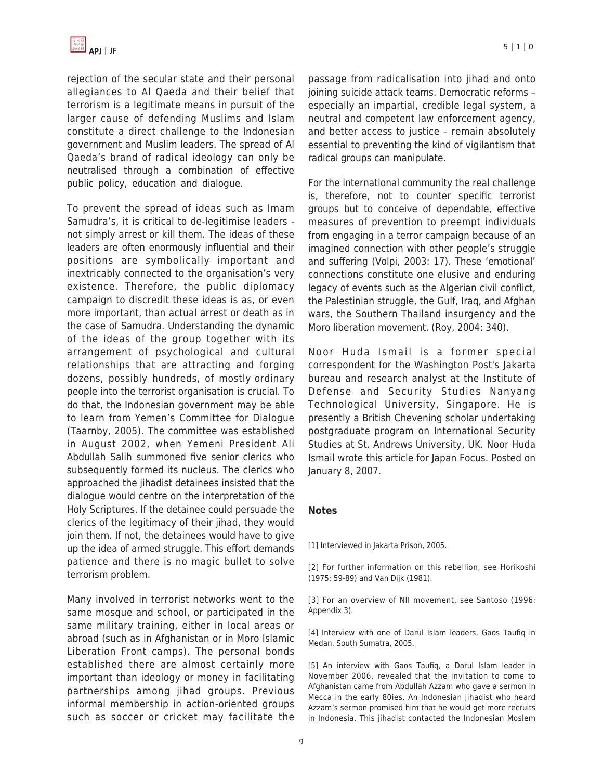rejection of the secular state and their personal allegiances to Al Qaeda and their belief that terrorism is a legitimate means in pursuit of the larger cause of defending Muslims and Islam constitute a direct challenge to the Indonesian government and Muslim leaders. The spread of Al Qaeda's brand of radical ideology can only be neutralised through a combination of effective public policy, education and dialogue.

To prevent the spread of ideas such as Imam Samudra's, it is critical to de-legitimise leaders not simply arrest or kill them. The ideas of these leaders are often enormously influential and their positions are symbolically important and inextricably connected to the organisation's very existence. Therefore, the public diplomacy campaign to discredit these ideas is as, or even more important, than actual arrest or death as in the case of Samudra. Understanding the dynamic of the ideas of the group together with its arrangement of psychological and cultural relationships that are attracting and forging dozens, possibly hundreds, of mostly ordinary people into the terrorist organisation is crucial. To do that, the Indonesian government may be able to learn from Yemen's Committee for Dialogue (Taarnby, 2005). The committee was established in August 2002, when Yemeni President Ali Abdullah Salih summoned five senior clerics who subsequently formed its nucleus. The clerics who approached the jihadist detainees insisted that the dialogue would centre on the interpretation of the Holy Scriptures. If the detainee could persuade the clerics of the legitimacy of their jihad, they would join them. If not, the detainees would have to give up the idea of armed struggle. This effort demands patience and there is no magic bullet to solve terrorism problem.

Many involved in terrorist networks went to the same mosque and school, or participated in the same military training, either in local areas or abroad (such as in Afghanistan or in Moro Islamic Liberation Front camps). The personal bonds established there are almost certainly more important than ideology or money in facilitating partnerships among jihad groups. Previous informal membership in action-oriented groups such as soccer or cricket may facilitate the passage from radicalisation into jihad and onto joining suicide attack teams. Democratic reforms – especially an impartial, credible legal system, a neutral and competent law enforcement agency, and better access to justice – remain absolutely essential to preventing the kind of vigilantism that radical groups can manipulate.

For the international community the real challenge is, therefore, not to counter specific terrorist groups but to conceive of dependable, effective measures of prevention to preempt individuals from engaging in a terror campaign because of an imagined connection with other people's struggle and suffering (Volpi, 2003: 17). These 'emotional' connections constitute one elusive and enduring legacy of events such as the Algerian civil conflict, the Palestinian struggle, the Gulf, Iraq, and Afghan wars, the Southern Thailand insurgency and the Moro liberation movement. (Roy, 2004: 340).

Noor Huda Ismail is a former special correspondent for the Washington Post's Jakarta bureau and research analyst at the Institute of Defense and Security Studies Nanyang Technological University, Singapore. He is presently a British Chevening scholar undertaking postgraduate program on International Security Studies at St. Andrews University, UK. Noor Huda Ismail wrote this article for Japan Focus. Posted on January 8, 2007.

#### **Notes**

[1] Interviewed in Jakarta Prison, 2005.

[2] For further information on this rebellion, see Horikoshi (1975: 59-89) and Van Dijk (1981).

[3] For an overview of NII movement, see Santoso (1996: Appendix 3).

[4] Interview with one of Darul Islam leaders, Gaos Taufiq in Medan, South Sumatra, 2005.

[5] An interview with Gaos Taufiq, a Darul Islam leader in November 2006, revealed that the invitation to come to Afghanistan came from Abdullah Azzam who gave a sermon in Mecca in the early 80ies. An Indonesian jihadist who heard Azzam's sermon promised him that he would get more recruits in Indonesia. This jihadist contacted the Indonesian Moslem